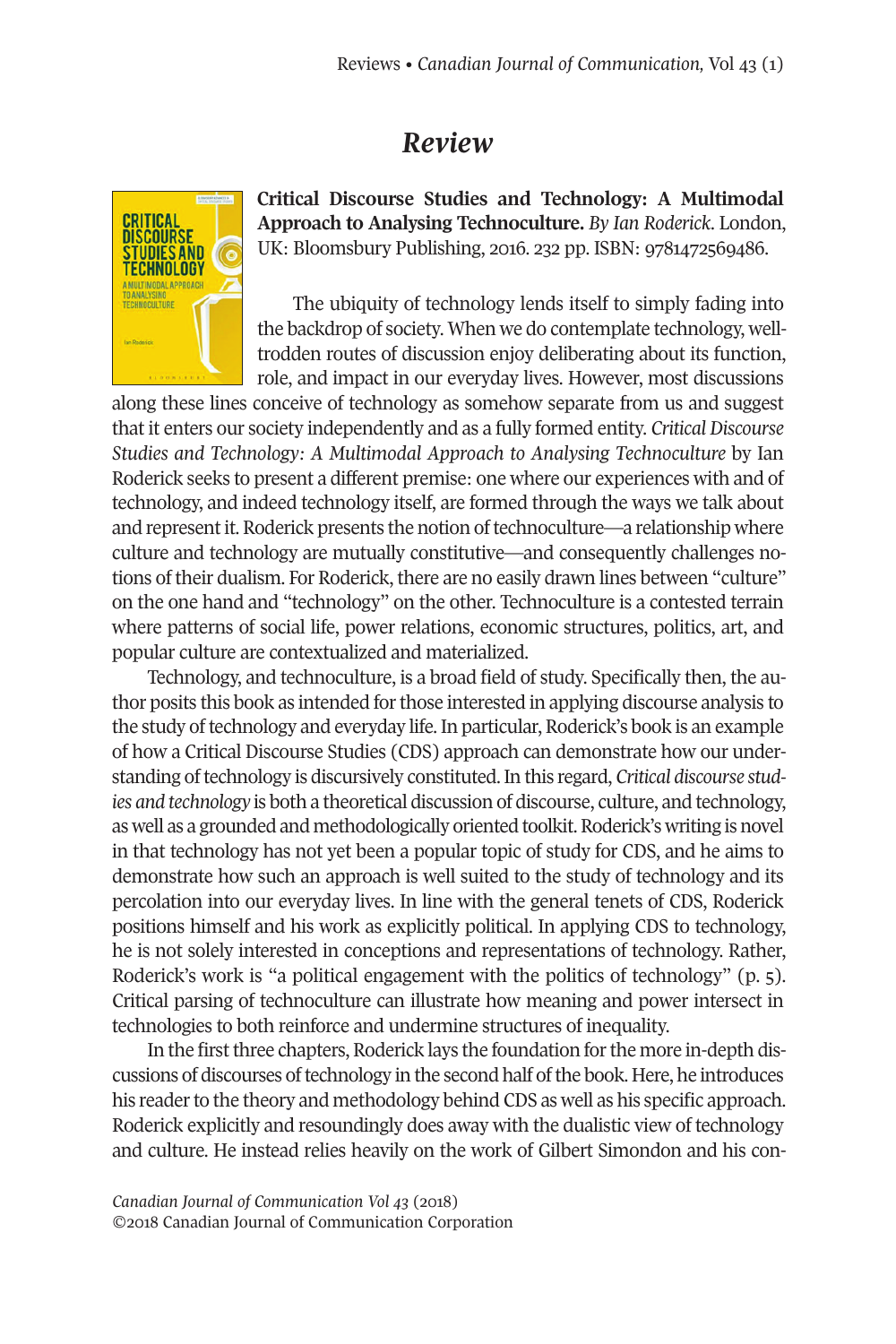## *Review*



**Critical Discourse Studies and Technology: A Multimodal Approach to Analysing Technoculture.** *By Ian Roderick*. London, UK: Bloomsbury Publishing, 2016. 232 pp. ISBN: 9781472569486.

The ubiquity of technology lends itself to simply fading into the backdrop of society. When we do contemplate technology, welltrodden routes of discussion enjoy deliberating about its function, role, and impact in our everyday lives. However, most discussions

along these lines conceive of technology as somehow separate from us and suggest that it enters our society independently and as a fully formed entity. *Critical Discourse Studies and Technology: A Multimodal Approach to Analysing Technoculture* by Ian Roderick seeks to present a different premise: one where our experiences with and of technology, and indeed technology itself, are formed through the ways we talk about and represent it. Roderick presents the notion of technoculture—a relationship where culture and technology are mutually constitutive—and consequently challenges notions of their dualism. For Roderick, there are no easily drawn lines between "culture" on the one hand and "technology" on the other. Technoculture is a contested terrain where patterns of social life, power relations, economic structures, politics, art, and popular culture are contextualized and materialized.

Technology, and technoculture, is a broad field of study. Specifically then, the author posits this book as intended for those interested in applying discourse analysis to the study oftechnology and everyday life.In particular, Roderick's book is an example of how a Critical Discourse Studies (CDS) approach can demonstrate how our understanding oftechnology is discursively constituted.In this regard, *Critical discourse studies and technology* is both a theoretical discussion of discourse, culture, and technology, as well as a grounded and methodologically oriented toolkit. Roderick's writing is novel in that technology has not yet been a popular topic of study for CDS, and he aims to demonstrate how such an approach is well suited to the study of technology and its percolation into our everyday lives. In line with the general tenets of CDS, Roderick positions himself and his work as explicitly political. In applying CDS to technology, he is not solely interested in conceptions and representations of technology. Rather, Roderick's work is "a political engagement with the politics of technology" (p. 5). Critical parsing of technoculture can illustrate how meaning and power intersect in technologies to both reinforce and undermine structures of inequality.

In the first three chapters, Roderick lays the foundation for the more in-depth discussions of discourses oftechnology in the second half ofthe book. Here, he introduces his reader to the theory and methodology behind CDS as well as his specific approach. Roderick explicitly and resoundingly does away with the dualistic view of technology and culture. He instead relies heavily on the work of Gilbert Simondon and his con-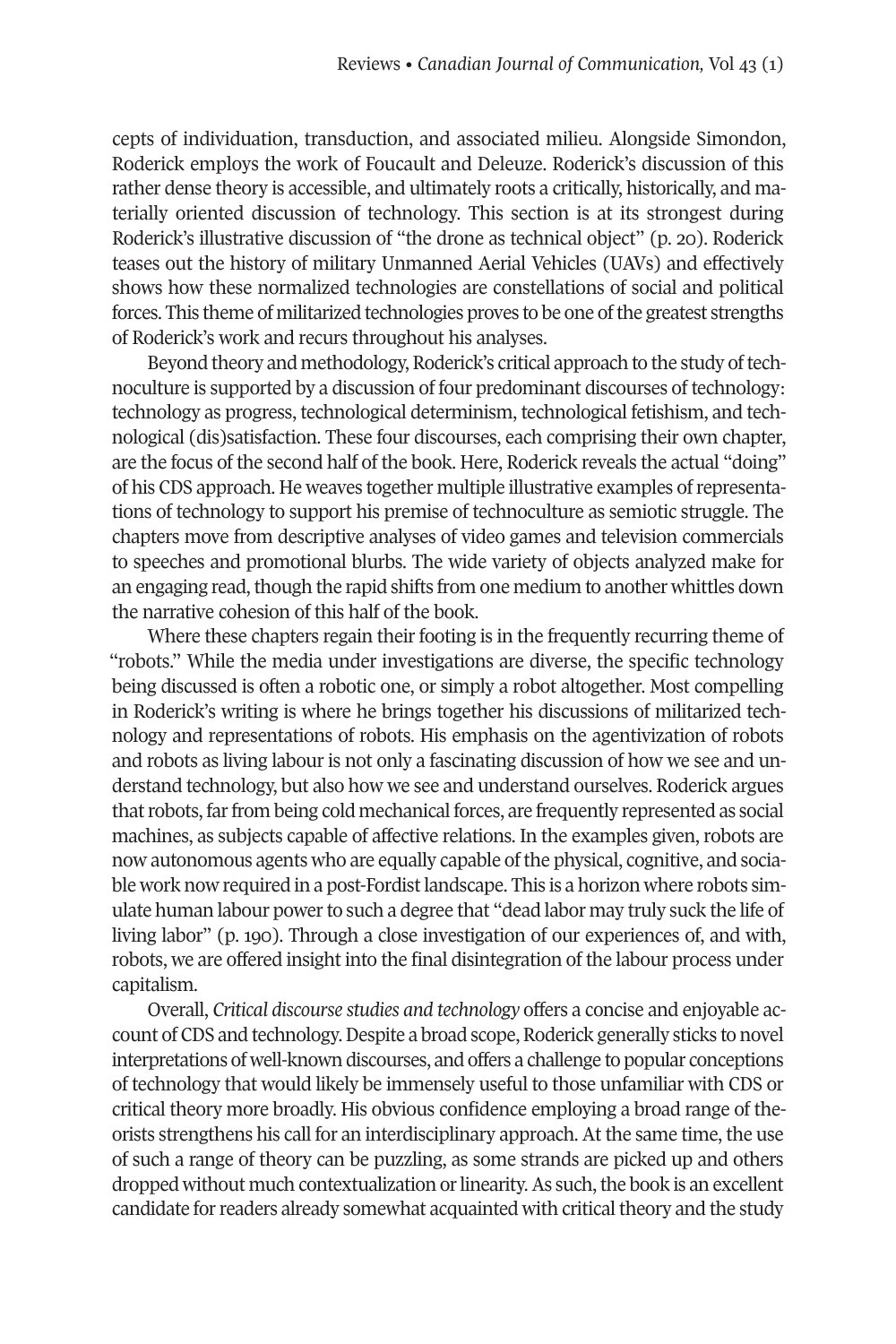cepts of individuation, transduction, and associated milieu. Alongside Simondon, Roderick employs the work of Foucault and Deleuze. Roderick's discussion of this rather dense theory is accessible, and ultimately roots a critically, historically, and materially oriented discussion of technology. This section is at its strongest during Roderick's illustrative discussion of "the drone as technical object" (p. 20). Roderick teases out the history of military Unmanned Aerial Vehicles (UAVs) and effectively shows how these normalized technologies are constellations of social and political forces. This theme of militarized technologies proves to be one ofthe greatest strengths of Roderick's work and recurs throughout his analyses.

Beyond theory and methodology, Roderick's critical approach to the study of technoculture is supported by a discussion of four predominant discourses of technology: technology as progress, technological determinism, technological fetishism, and technological (dis)satisfaction. These four discourses, each comprising their own chapter, are the focus of the second half of the book. Here, Roderick reveals the actual "doing" of his CDS approach. He weaves together multiple illustrative examples ofrepresentations of technology to support his premise of technoculture as semiotic struggle. The chapters move from descriptive analyses of video games and television commercials to speeches and promotional blurbs. The wide variety of objects analyzed make for an engaging read, though the rapid shifts from one medium to another whittles down the narrative cohesion of this half of the book.

Where these chapters regain their footing is in the frequently recurring theme of "robots." While the media under investigations are diverse, the specific technology being discussed is often a robotic one, or simply a robot altogether. Most compelling in Roderick's writing is where he brings together his discussions of militarized technology and representations of robots. His emphasis on the agentivization of robots and robots as living labour is not only a fascinating discussion of how we see and understand technology, but also how we see and understand ourselves. Roderick argues that robots, far from being cold mechanical forces, are frequently represented as social machines, as subjects capable of affective relations. In the examples given, robots are now autonomous agents who are equally capable ofthe physical, cognitive, and sociable work now required in a post-Fordist landscape. This is a horizon where robots simulate human labour powerto such a degree that "dead labor may truly suck the life of living labor" (p. 190). Through a close investigation of our experiences of, and with, robots, we are offered insight into the final disintegration of the labour process under capitalism.

Overall, *Critical discourse studies and technology* offers a concise and enjoyable account of CDS and technology. Despite a broad scope, Roderick generally sticks to novel interpretations of well-known discourses, and offers a challenge to popular conceptions of technology that would likely be immensely useful to those unfamiliar with CDS or critical theory more broadly. His obvious confidence employing a broad range of theorists strengthens his call for an interdisciplinary approach. At the same time, the use of such a range of theory can be puzzling, as some strands are picked up and others dropped without much contextualization or linearity. As such, the book is an excellent candidate for readers already somewhat acquainted with critical theory and the study